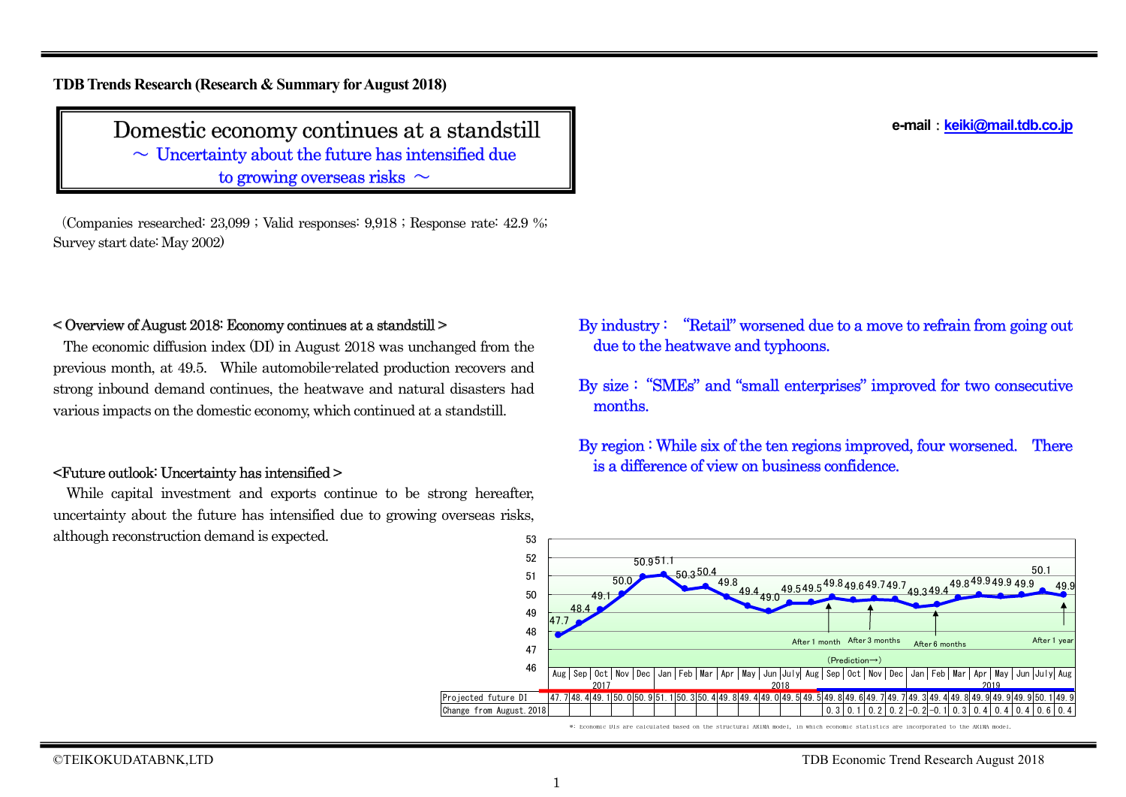**TDB Trends Research (Research & Summary forAugust 2018)**

# Domestic economy continues at a standstill

 $\sim$  Uncertainty about the future has intensified due to growing overseas risks  $\sim$ 

(Companies researched: 23,099 ; Valid responses: 9,918 ; Response rate: 42.9 %; Survey start date: May 2002)

## < Overview of August 2018: Economy continues at a standstill >

The economic diffusion index (DI) in August 2018 was unchanged from the previous month, at 49.5. While automobile-related production recovers and strong inbound demand continues, the heatwave and natural disasters had various impacts on the domestic economy, which continued at a standstill.

## <Future outlook: Uncertainty has intensified >

While capital investment and exports continue to be strong hereafter, uncertainty about the future has intensified due to growing overseas risks, although reconstruction demand is expected. 53

- By industry : "Retail" worsened due to a move to refrain from going out due to the heatwave and typhoons.
- By size :"SMEs" and "small enterprises" improved for two consecutive months.

By region : While six of the ten regions improved, four worsened. There is a difference of view on business confidence.



<sup>\*:</sup> Economic DIs are calculated based on the structural ARIMA model, in which economic statistics are incorporated to the ARIMA model.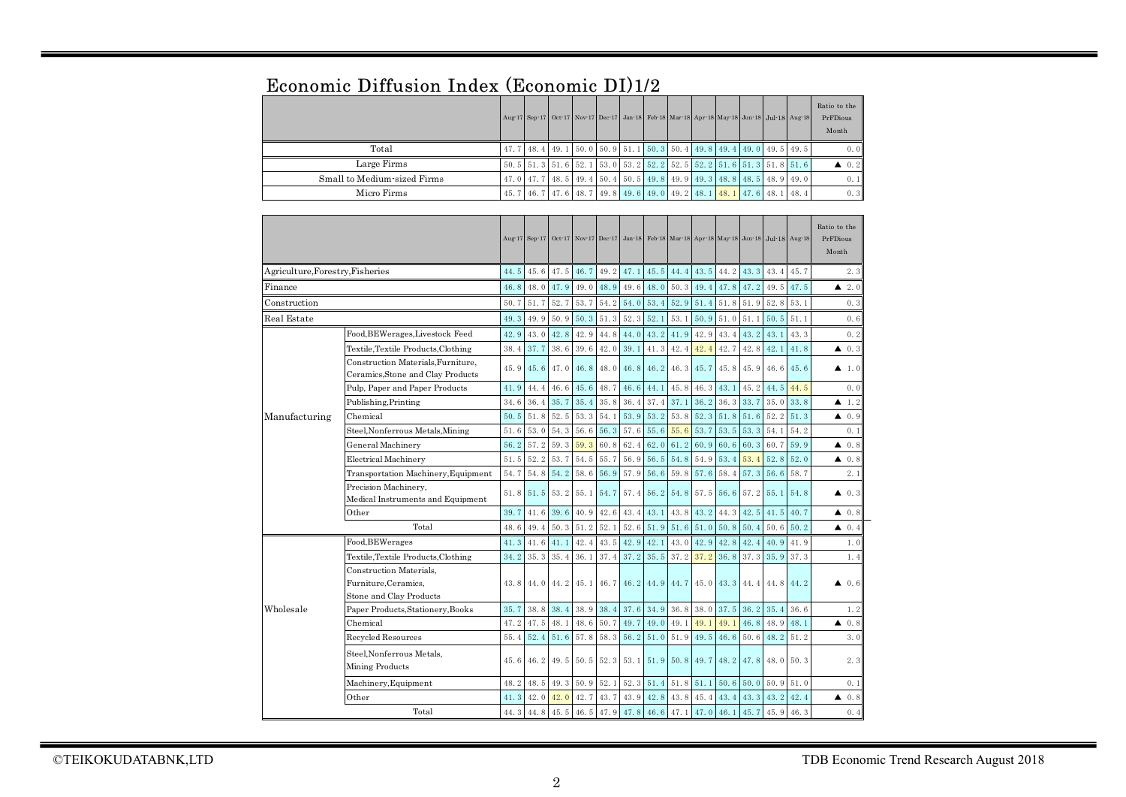|                             |  |  |  | Aug 17 Sep 17 Oct 17 Nov 17 Dec 17 Jan 18 Feb 18 Mar 18 Apr 18 May 18 Jun 18 Jul 18 Aug 18 |  |  | Ratio to the<br>PrFDious<br>Month |
|-----------------------------|--|--|--|--------------------------------------------------------------------------------------------|--|--|-----------------------------------|
| Total                       |  |  |  | 47. 7 48. 4 49. 1 50. 0 50. 9 51. 1 50. 3 50. 4 49. 8 49. 4 49. 0 49. 5 49. 5              |  |  | 0.0                               |
| Large Firms                 |  |  |  | $50.5$ $51.3$ $51.6$ $52.1$ $53.0$ $53.2$ $52.2$ $52.5$ $52.2$ $51.6$ $51.3$ $51.8$ $51.6$ |  |  | $\triangle$ 0.2                   |
| Small to Medium-sized Firms |  |  |  | 47, 0 47, 7 48, 5 49, 4 50, 4 50, 5 49, 8 49, 9 49, 3 48, 8 48, 5 48, 9 49, 0              |  |  | 0.1                               |
| Micro Firms                 |  |  |  | 45. 7 46. 7 47. 6 48. 7 49. 8 49. 6 49. 0 49. 2 48. 1 48. 1 47. 6 48. 1 48. 4              |  |  | 0.3                               |

## Economic Diffusion Index (Economic DI)1/2

|                                  |                                                                            |      |      |           |           |      |           |                  |                |      |           | Aug 17 Sep 17 Oct 17 Nov 17 Dec 17 Jan 18 Feb 18 Mar 18 Apr 18 May 18 Jun 18 Jul 18 Aug 18 |           |             | Ratio to the<br>PrFDious<br>Month |
|----------------------------------|----------------------------------------------------------------------------|------|------|-----------|-----------|------|-----------|------------------|----------------|------|-----------|--------------------------------------------------------------------------------------------|-----------|-------------|-----------------------------------|
| Agriculture, Forestry, Fisheries |                                                                            | 44.5 | 45.6 | 47.5      | 46.7      | 49.2 | 47.1      | 45.5             | 44.4           | 43.5 | 44.2      | 43.3                                                                                       | 43.4      | 45.7        | 2.3                               |
| Finance                          |                                                                            | 46.8 | 48.0 | 47.9      | 49.0      | 48.9 | 49.6      | 48.0             | 50.3           | 49.4 | 47.8      | 47.2                                                                                       | 49.5      | 47.5        | 2.0<br>▲                          |
| Construction                     |                                                                            | 50.7 | 51.7 | 52.7      | 53.7      |      | 54.2 54.0 | 53.4             | 52.9           | 51.4 |           | 51.8 51.9 52.8 53.1                                                                        |           |             | 0.3                               |
| Real Estate                      |                                                                            | 49.3 | 49.9 | 50.9      | 50.3      | 51.3 | 52.3      | 52.1             | 53.1           | 50.9 | 51.0      | 51.1                                                                                       | 50.5      | 51.1        | 0.6                               |
|                                  | Food, BEWerages, Livestock Feed                                            | 42.9 | 43.0 | 42.8      | 42.9      | 44.8 | 44.0      | 43.2             | 41.9           | 42.9 | 43.4      | 43.2                                                                                       | 43.1      | 43.3        | 0.2                               |
|                                  | Textile, Textile Products, Clothing                                        | 38.4 | 37.7 | 38.6      | 39.6      | 42.0 | 39.1      | 41.3             | 42.4           | 42.4 | 42.7      | 42.8                                                                                       | 42.1      | 41.8        | $\triangle$ 0.3                   |
|                                  | Construction Materials, Furniture,<br>Ceramics, Stone and Clay Products    | 45.9 | 45.6 | 47.0      | 46.8      | 48.0 | 46.8      | 46.2             | 46.3           | 45.7 | 45.8      | 45.9                                                                                       |           | $46.6$ 45.6 | $\blacktriangle$ 1.0              |
|                                  | Pulp, Paper and Paper Products                                             | 41.9 | 44.4 | 46.6      | 45.6      | 48.7 | 46.6      | 44.1             | 45.8           | 46.3 | 43.1      | 45.2                                                                                       | 44.5      | 44.5        | 0.0                               |
|                                  | Publishing, Printing                                                       | 34.6 | 36.4 | 35.7      | 35.4      | 35.8 | 36.4      | 37.4             | 37.1           | 36.2 | 36.3      | 33.7                                                                                       | 35.0      | 33.8        | $\blacktriangle$ 1.2              |
| Manufacturing                    | Chemical                                                                   | 50.5 | 51.8 | 52.5      | 53.3      | 54.1 | 53.9      | 53.2             | 53.8           | 52.3 | 51.8      | 51.6                                                                                       | 52.2      | 51.3        | $\triangle$ 0.9                   |
|                                  | Steel, Nonferrous Metals, Mining                                           | 51.6 | 53.0 | 54.3      | 56.6      | 56.3 | 57.6      | 55.6             | 55.6           | 53.7 | 53.5      | 53.3                                                                                       | 54.1      | 54.2        | 0.1                               |
|                                  | General Machinery                                                          | 56.2 | 57.2 | 59.3      | 59.3      | 60.8 | 62.4      | 62.0             | 61.2           | 60.9 | 60.6      | 60.3                                                                                       | 60.7      | 59.9        | $\triangle$ 0.8                   |
|                                  | <b>Electrical Machinery</b>                                                | 51.5 | 52.2 | 53.7      | 54.5      | 55.7 | 56.9      | 56.5             | 54.8           | 54.9 | 53.4      | 53.4                                                                                       | 52.8      | 52.0        | $\blacktriangle$ 0.8              |
|                                  | Transportation Machinery, Equipment                                        | 54.7 | 54.8 | 54.2      | 58.6      | 56.9 | 57.9      | 56.6             | 59.8           | 57.6 | 58.4      | 57.3                                                                                       | 56.6      | 58.7        | 2.1                               |
|                                  | Precision Machinery,<br>Medical Instruments and Equipment                  | 51.8 | 51.5 | 53.2 55.1 |           | 54.7 | 57.4      |                  | 56.2 54.8      | 57.5 | 56.6      | 57.2                                                                                       | 55.1      | 54.8        | 40.3                              |
|                                  | Other                                                                      | 39.7 | 41.6 | 39.6      | 40.9      | 42.6 | 43.4      | 43.1             | 43.8           | 43.2 | 44.3      | 42.5                                                                                       | 41.5      | 40.7        | 40.8                              |
|                                  | Total                                                                      | 48.6 | 49.4 | 50.3      | 51.2      | 52.1 | 52.6      | 51.9             | 51.6           | 51.0 | 50.8      | 50.4                                                                                       | 50.6      | 50.2        | 40.4                              |
|                                  | Food, BEWerages                                                            | 41.3 | 41.6 | 41.1      | 42.4      | 43.5 | 42.9      | 42.1             | 43.0           | 42.9 | 42.8      | 42.4                                                                                       | 40.9      | 41.9        | 1.0                               |
|                                  | Textile, Textile Products, Clothing                                        | 34.2 | 35.3 | 35.4      | 36.1      | 37.4 | 37.2      | 35.5             | 37.2           | 37.2 | 36.8      | 37.3                                                                                       | 35.9      | 37.3        | 1.4                               |
|                                  | Construction Materials.<br>Furniture, Ceramics,<br>Stone and Clay Products | 43.8 | 44.0 | 44.2      | 45.1      | 46.7 |           | 46.2 44.9        | 44.7           | 45.0 | 43.3 44.4 |                                                                                            | 44.8 44.2 |             | 0.6<br>▲                          |
| Wholesale                        | Paper Products, Stationery, Books                                          | 35.7 | 38.8 | 38.4      | 38.9      | 38.4 | 37.6      | 34.9             | 36.8           | 38.0 | 37.5      | 36.2                                                                                       | 35.4      | 36.6        | 1.2                               |
|                                  | Chemical                                                                   | 47.2 | 47.5 | 48.1      | 48.6      | 50.7 | 49.7      | 49.0             | 49.1           | 49.1 | 49.1      | 46.8                                                                                       | 48.9      | 48.1        | 40.8                              |
|                                  | Recycled Resources                                                         | 55.4 | 52.4 | 51.6      | 57.8      | 58.3 | 56.2      | 51.0             | 51.9           | 49.5 | 46.6      | 50.6                                                                                       | 48.2      | 51.2        | 3.0                               |
|                                  | Steel, Nonferrous Metals.<br>Mining Products                               | 45.6 | 46.2 |           | 49.5 50.5 | 52.3 | 53.1      |                  | 51.9 50.8 49.7 |      | 48.2 47.8 |                                                                                            | 48.0 50.3 |             | 2.3                               |
|                                  | Machinery, Equipment                                                       | 48.2 | 48.5 | 49.3      | 50.9      | 52.1 | 52.3      | 51.4             | 51.8           | 51.1 | 50.6      | 50.0                                                                                       | 50.9      | 51.0        | 0.1                               |
|                                  | Other                                                                      | 41.3 | 42.0 | 42.0      | 42.7      | 43.7 | 43.9      | 42.8             | 43.8           | 45.4 | 43.4      | 43.3                                                                                       | 43.2      | 42.4        | $\triangle$ 0.8                   |
|                                  | Total                                                                      | 44.3 | 44.8 | 45.5      | 46.5      | 47.9 |           | $47.8$ 46.6 47.1 |                | 47.0 | 46.1      | 45.7                                                                                       | 45.9      | 46.3        | 0.4                               |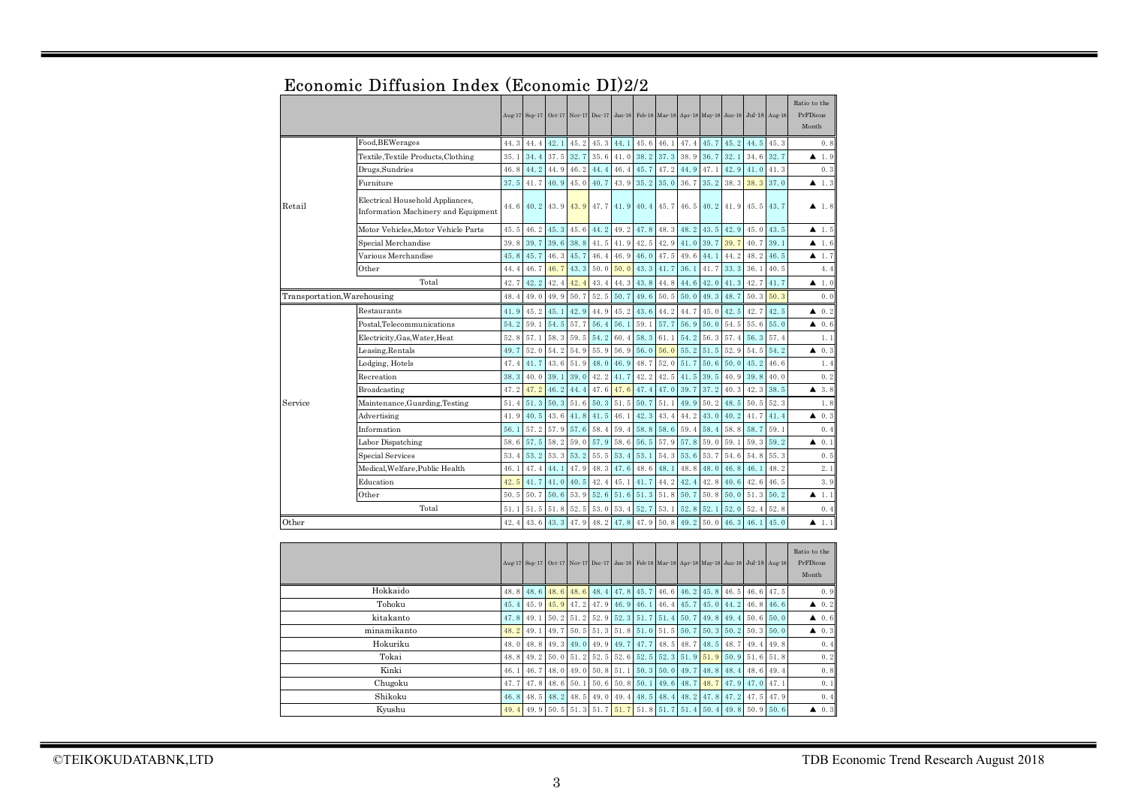|           |                                                                         | Aug-17       | $Sep-17$ | Oct 17 | Nov 17 Dec 17        |      | $Jan-18$ |      | Feb 18 Mar 18 Apr 18 May 18 Jun 18 Jul 18 Aug 18 |      |      |      |               |      | Ratio to the<br>PrFDious<br>Month |
|-----------|-------------------------------------------------------------------------|--------------|----------|--------|----------------------|------|----------|------|--------------------------------------------------|------|------|------|---------------|------|-----------------------------------|
|           | Food, BEWerages                                                         | 44.3         | 44.4     | 42.1   | 45.2                 | 45.3 | 44.1     | 45.6 | 46.1                                             | 47.4 | 45.7 | 45.2 | 44.5          | 45.3 | 0.8                               |
|           | Textile, Textile Products, Clothing                                     | 35.1         | 34.4     | 37.5   | 32.7                 | 35.6 | 41.0     | 38.2 | 37.3                                             | 38.9 | 36.7 | 32.1 | 34.6          | 32.7 | 1.9<br>▲                          |
|           | Drugs,Sundries                                                          | 46.8         | 44.2     | 44.9   | 46.2                 | 44.4 | 46.4     | 45.7 | 47.2                                             | 44.9 | 47.1 | 42.9 | 41.0          | 41.3 | 0.3                               |
|           | Furniture                                                               | 37.5         | 41.7     | 40.9   | 45.0                 | 40.7 | 43.9     | 35.2 | 35.0                                             | 36.7 | 35.2 | 38.3 | 38.3          | 37.0 | 1.3<br>▲                          |
| Retail    | Electrical Household Appliances,<br>Information Machinery and Equipment | 44.6         | 40.2     | 43.9   | 43.9                 | 47.7 | 41.9     | 40.4 | 45.7                                             | 46.5 | 40.2 | 41.9 | 45.5          | 43.7 | $\blacktriangle$ 1.8              |
|           | Motor Vehicles, Motor Vehicle Parts                                     | 45.5         | 46.2     | 45.3   | 45.6                 | 44.2 | 49.2     | 47.8 | 48.3                                             | 48.2 | 43.5 | 42.9 | 45.0          | 43.5 | 1.5<br>▲                          |
|           | Special Merchandise                                                     | 39.8         | 39.7     | 39.6   | 38.8                 | 41.5 | 41.9     | 42.5 | 42.9                                             | 41.0 | 39.7 | 39.7 | 40.7          | 39.1 | ▲<br>1.6                          |
|           | Various Merchandise                                                     | 45.8         | 45.7     | 46.3   | 45.7                 | 46.4 | 46.9     | 46.0 | 47.5                                             | 49.6 | 44.1 | 44.2 | 48.2          | 46.5 | 1.7<br>▲                          |
|           | Other                                                                   | 44.4         | 46.7     | 46.7   | 43.3                 | 50.0 | 50.0     | 43.3 | 41.7                                             | 36.1 | 41.7 | 33.3 | 36.1          | 40.5 | 4.4                               |
|           | Total                                                                   | 42.7         | 42.2     | 42.4   | 42.4                 | 43.4 | 44.3     | 43.8 | 44.8                                             | 44.6 | 42.0 | 41.3 | 42.7          | 41.7 | 1.0<br>▲                          |
|           | Transportation, Warehousing                                             | 48.4         | 49.0     | 49.9   | 50.7                 | 52.5 | 50.7     | 49.6 | 50.5                                             | 50.0 | 49.3 | 48.7 | 50.3          | 50.3 | 0.0                               |
|           | Restaurants                                                             | 41.9         | 45.2     | 45.1   | 42.9                 | 44.9 | 45.2     | 43.6 | 44.2                                             | 44.7 | 45.0 | 42.5 | 42.7          | 42.5 | 0.2<br>▲                          |
|           | Postal,Telecommunications                                               | 54.2         | 59.1     | 54.5   | 57.7                 | 56.4 | 56.1     | 59.1 | 57.7                                             | 56.9 | 50.0 | 54.5 | 55.6          | 55.0 | 0.6<br>▲                          |
|           | Electricity, Gas, Water, Heat                                           | 52.8         | 57.1     | 58.3   | 59.5                 | 54.2 | 60.4     | 58.3 | 61.1                                             | 54.2 | 56.3 | 57.4 | 56.3          | 57.4 | 1.1                               |
|           | Leasing, Rentals                                                        | 49.7         | 52.0     | 54.2   | 54.9                 | 55.9 | 56.9     | 56.0 | 56.0                                             | 55.2 | 51.5 | 52.9 | 54.5          | 54.2 | 0.3<br>▲                          |
|           | Lodging, Hotels                                                         | 47.4         | 41.7     | 43.6   | 51.9                 | 48.0 | 46.9     | 48.7 | 52.0                                             | 51.7 | 50.6 | 50.0 | 45.2          | 46.6 | 1.4                               |
|           | Recreation                                                              | 38.3         | 40.0     | 39.1   | 39.0                 | 42.2 | 41.7     | 42.2 | 42.5                                             | 41.5 | 39.5 | 40.9 | 39.8          | 40.0 | 0.2                               |
|           | Broadcasting                                                            | 47.2         | 47.2     | 46.2   | 44.4                 | 47.6 | 47.6     | 47.4 | 47.0                                             | 39.7 | 37.2 | 40.3 | 42.3          | 38.5 | 3.8<br>▲                          |
| Service   | Maintenance, Guarding, Testing                                          | 51.4         | 51.3     | 50.3   | 51.6                 | 50.3 | 51.5     | 50.7 | 51.1                                             | 49.9 | 50.2 | 48.5 | 50.5          | 52.3 | 1.8                               |
|           | Advertising                                                             | 41.9         | 40.5     | 43.6   | 41.8                 | 41.5 | 46.1     | 42.3 | 43.4                                             | 44.2 | 43.0 | 40.2 | 41.7          | 41.4 | 0.3<br>▲                          |
|           | Information                                                             | 56.1         | 57.2     | 57.9   | 57.6                 | 58.4 | 59.4     | 58.8 | 58.6                                             | 59.4 | 58.4 | 58.8 | 58.7          | 59.1 | 0.4                               |
|           | Labor Dispatching                                                       | 58.6         | 57.5     | 58.2   | 59.0                 | 57.9 | 58.6     | 56.5 | 57.9                                             | 57.8 | 59.0 | 59.1 | 59.3          | 59.2 | 0.1<br>▲                          |
|           | Special Services                                                        | 53.4         | 53.2     | 53.3   | 53.2                 | 55.5 | 53.4     | 53.1 | 54.3                                             | 53.6 | 53.7 | 54.6 | 54.8          | 55.3 | 0.5                               |
|           | Medical, Welfare, Public Health                                         | 46.1         | 47.4     | 44.1   | 47.9                 | 48.3 | 47.6     | 48.6 | 48.1                                             | 48.8 | 48.0 | 46.8 | 46.1          | 48.2 | 2.1                               |
|           | Education                                                               | 42.5         | 41.7     | 41.0   | 40.5                 | 42.4 | 45.1     | 41.7 | 44.2                                             | 42.4 | 42.8 | 40.6 | 42.6          | 46.5 | 3.9                               |
|           | Other                                                                   | 50.5         | 50.7     | 50.6   | 53.9                 | 52.6 | 51.6     | 51.3 | 51.8                                             | 50.7 | 50.8 | 50.0 | 51.3          | 50.2 | 1.1<br>▲                          |
|           | Total                                                                   | 51.1         | 51.5     | 51.8   | 52.5                 | 53.0 | 53.4     | 52.7 | 53.1                                             | 52.8 | 52.1 | 52.0 | 52.4          | 52.8 | 0.4                               |
| Other     |                                                                         | 42.4         | 43.6     | 43.3   | 47.9                 | 48.2 | 47.8     | 47.9 | 50.8                                             | 49.2 | 50.0 | 46.3 | 46.1          | 45.0 | $\blacktriangle$ 1.1              |
|           |                                                                         | Aug-17       | $Sep-17$ |        | Oct 17 Nov 17 Dec 17 |      | $Jan-18$ |      | Feb 18 Mar 18 Apr 18 May 18 Jun 18               |      |      |      | Jul-18 Aug 18 |      | Ratio to the<br>PrFDious<br>Month |
| Hokkaido  |                                                                         | 48.8         | 48.6     | 48.6   | 48.6                 | 48.4 | 47.8     | 45.7 | 46.6                                             | 46.2 | 45.8 | 46.5 | 46.6          | 47.5 | 0.9                               |
| Tohoku    |                                                                         | 45.4         | 45.9     | 45.9   | 47.2                 | 47.9 | 46.9     | 46.1 | 46.4                                             | 45.7 | 45.0 | 44.2 | 46.8          | 46.6 | ▲<br>0.2                          |
| kitakanto |                                                                         | 47.8         | 49.1     | 50.2   | 51.2                 | 52.9 | 52.3     | 51.7 | 51.4                                             | 50.7 | 49.8 | 49.4 | 50.6          | 50.0 | 0.6<br>▲                          |
|           | minamikanto                                                             | 48.2         | 49.1     | 49.7   | 50.5                 | 51.3 | 51.8     | 51.0 | 51.5                                             | 50.7 | 50.3 | 50.2 | 50.3          | 50.0 | 0.3<br>▲                          |
|           | Hokuriku                                                                | 48.0         | 48.8     | 49.3   | 49.0                 | 49.9 | 49.7     | 47.7 | 48.5                                             | 48.7 | 48.5 | 48.7 | 49.4          | 49.8 | 0.4                               |
|           | Tokai                                                                   | 48.8         | 49.2     | 50.0   | 51.2                 | 52.5 | 52.6     | 52.5 | 52.3                                             | 51.9 | 51.9 | 50.9 | 51.6          | 51.8 | 0.2                               |
|           | Kinki                                                                   | 46.1         | 46.7     | 48.0   | 49.0                 | 50.8 | 51.1     | 50.3 | 50.0                                             | 49.7 | 48.8 | 48.4 | 48.6          | 49.4 | 0.8                               |
|           | Chugoku                                                                 | 47.7         | 47.8     | 48.6   | 50.1                 | 50.6 | 50.8     | 50.1 | 49.6                                             | 48.7 | 48.7 | 47.9 | 47.0          | 47.1 | 0.1                               |
|           | Shikoku                                                                 | 46.8<br>49.4 | 48.5     | 48.2   | 48.5                 | 49.0 | 49.4     | 48.5 | 48.4                                             | 48.2 | 47.8 | 47.2 | 47.5          | 47.9 | 0.4                               |
| Kyushu    |                                                                         |              | 49.9     | 50.5   | 51.3                 | 51.7 | 51.7     | 51.8 | 51.7                                             | 51.4 | 50.4 | 49.8 | 50.9          | 50.6 | 0.3<br>▲                          |

## Economic Diffusion Index (Economic DI)2/2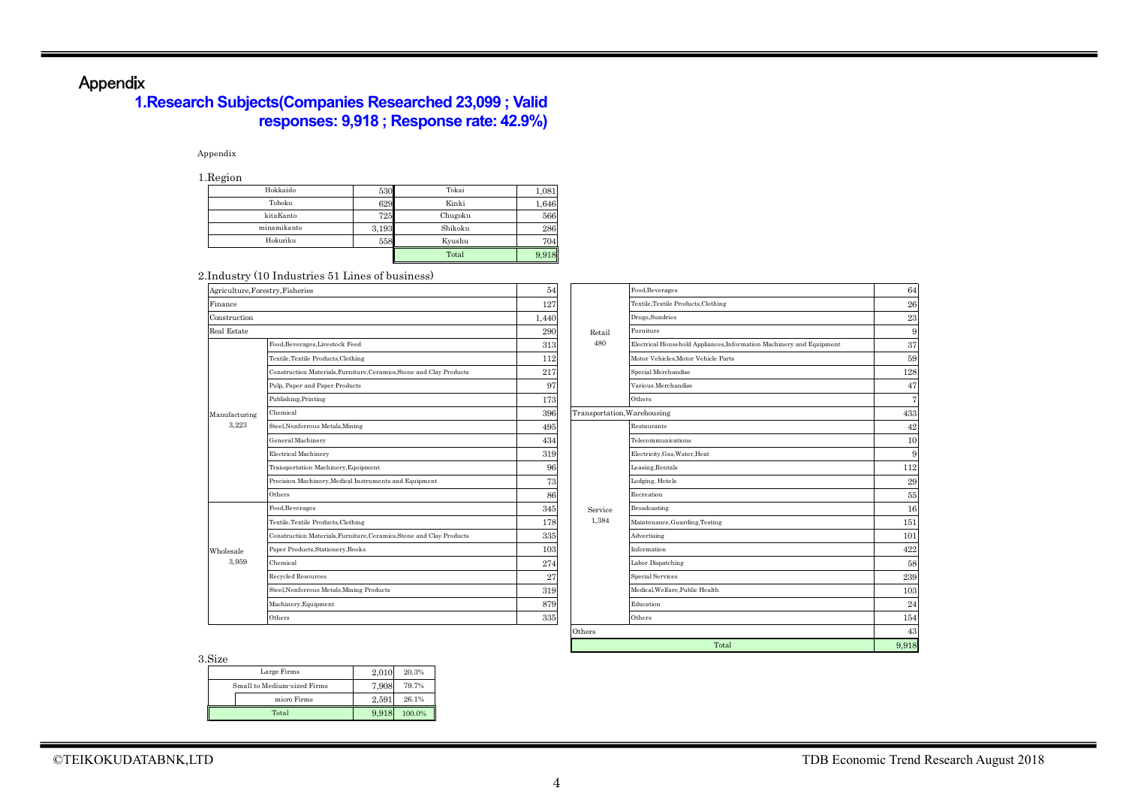## Appendix

## **1.Research Subjects(Companies Researched 23,099 ; Valid responses: 9,918 ; Response rate: 42.9%)**

### Appendix

1.Region

| -           |       |         |       |
|-------------|-------|---------|-------|
| Hokkaido    | 530   | Tokai   | 1,081 |
| Tohoku      | 629   | Kinki   | 1,646 |
| kitaKanto   | 725   | Chugoku | 566   |
| minamikanto | 3.193 | Shikoku | 286   |
| Hokuriku    | 558   | Kvushu  | 704   |
|             |       | Total   | 9,918 |

#### 2.Industry (10 Industries 51 Lines of business)

| Agriculture, Forestry, Fisheries   |                                                                      | 54    |         | Food, Beverages                                                      | 64              |
|------------------------------------|----------------------------------------------------------------------|-------|---------|----------------------------------------------------------------------|-----------------|
| Finance                            |                                                                      | 127   |         | Textile, Textile Products, Clothing                                  | 26              |
| Construction<br><b>Real Estate</b> |                                                                      | 1,440 |         | Drugs, Sundries                                                      | 23              |
|                                    |                                                                      | 290   | Retail  | Furniture                                                            | ş               |
|                                    | Food, Beverages, Livestock Feed                                      | 313   | 480     | Electrical Household Appliances, Information Machinery and Equipment | 37              |
|                                    | Textile, Textile Products, Clothing                                  | 112   |         | Motor Vehicles.Motor Vehicle Parts                                   | 59              |
|                                    | Construction Materials, Furniture, Ceramics, Stone and Clay Products | 217   |         | Special Merchandise                                                  | 128             |
|                                    | Pulp, Paper and Paper Products                                       | 97    |         | Various Merchandise                                                  | 47              |
|                                    | Publishing, Printing                                                 | 173   |         | Others                                                               | 7               |
| Manufacturing                      | Chemical                                                             | 396   |         | Transportation, Warehousing                                          | 433             |
| 3,223                              | Steel, Nonferrous Metals, Mining                                     | 495   |         | Restaurants                                                          | 42              |
|                                    | General Machinery                                                    | 434   |         | Telecommunications                                                   | 10              |
|                                    | <b>Electrical Machinery</b>                                          | 319   |         | Electricity, Gas, Water, Heat                                        | ş               |
|                                    | Transportation Machinery, Equipment                                  | 96    |         | Leasing, Rentals                                                     | 112             |
|                                    | Precision Machinery, Medical Instruments and Equipment               | 73    |         | Lodging, Hotels                                                      | 29              |
|                                    | Others                                                               | 86    |         | Recreation                                                           | 55              |
|                                    | Food, Beverages                                                      | 345   | Service | Broadcasting                                                         | 16              |
|                                    | Textile, Textile Products, Clothing                                  | 178   | 1,384   | Maintenance, Guarding, Testing                                       | 151             |
|                                    | Construction Materials, Furniture, Ceramics, Stone and Clay Products | 335   |         | Advertising                                                          | 101             |
| Wholesale                          | Paper Products, Stationery, Books                                    | 103   |         | Information                                                          | 422             |
| 3,959                              | Chemical                                                             | 274   |         | Labor Dispatching                                                    | 58              |
|                                    | Recycled Resources                                                   | 27    |         | <b>Special Services</b>                                              | 239             |
|                                    | Steel, Nonferrous Metals, Mining Products                            | 319   |         | Medical, Welfare, Public Health                                      | 10 <sup>°</sup> |
|                                    | Machinery, Equipment                                                 | 879   |         | Education                                                            | 24              |
|                                    | Others                                                               | 335   |         | Others                                                               | 154             |
|                                    |                                                                      |       | Othore  |                                                                      | $\Lambda^c$     |

|         | Food, Beverages                                                      |       |
|---------|----------------------------------------------------------------------|-------|
|         | Textile, Textile Products, Clothing                                  |       |
|         | Drugs, Sundries                                                      |       |
| Retail  | Furniture                                                            |       |
| 480     | Electrical Household Appliances, Information Machinery and Equipment |       |
|         | Motor Vehicles, Motor Vehicle Parts                                  |       |
|         | Special Merchandise                                                  | 128   |
|         | Various Merchandise                                                  |       |
|         | Others                                                               |       |
|         | Transportation, Warehousing                                          | 433   |
|         | Restaurants                                                          |       |
|         | Telecommunications                                                   |       |
|         | Electricity, Gas, Water, Heat                                        |       |
|         | Leasing, Rentals                                                     | 112   |
|         | Lodging, Hotels                                                      |       |
|         | Recreation                                                           |       |
| Service | Broadcasting                                                         |       |
| 1,384   | Maintenance, Guarding, Testing                                       | 151   |
|         | Advertising                                                          | 101   |
|         | Information                                                          | 422   |
|         | Labor Dispatching                                                    |       |
|         | <b>Special Services</b>                                              | 239   |
|         | Medical, Welfare, Public Health                                      | 103   |
|         | Education                                                            |       |
|         | Others                                                               | 154   |
| Others  |                                                                      |       |
|         | Total                                                                | 9,918 |

3.Size

| ,,,,,,                      |       |        |
|-----------------------------|-------|--------|
| Large Firms                 | 2.010 | 20.3%  |
| Small to Medium-sized Firms | 7.908 | 79.7%  |
| micro Firms                 | 2.591 | 26.1%  |
| Total                       | 9.918 | 100.0% |